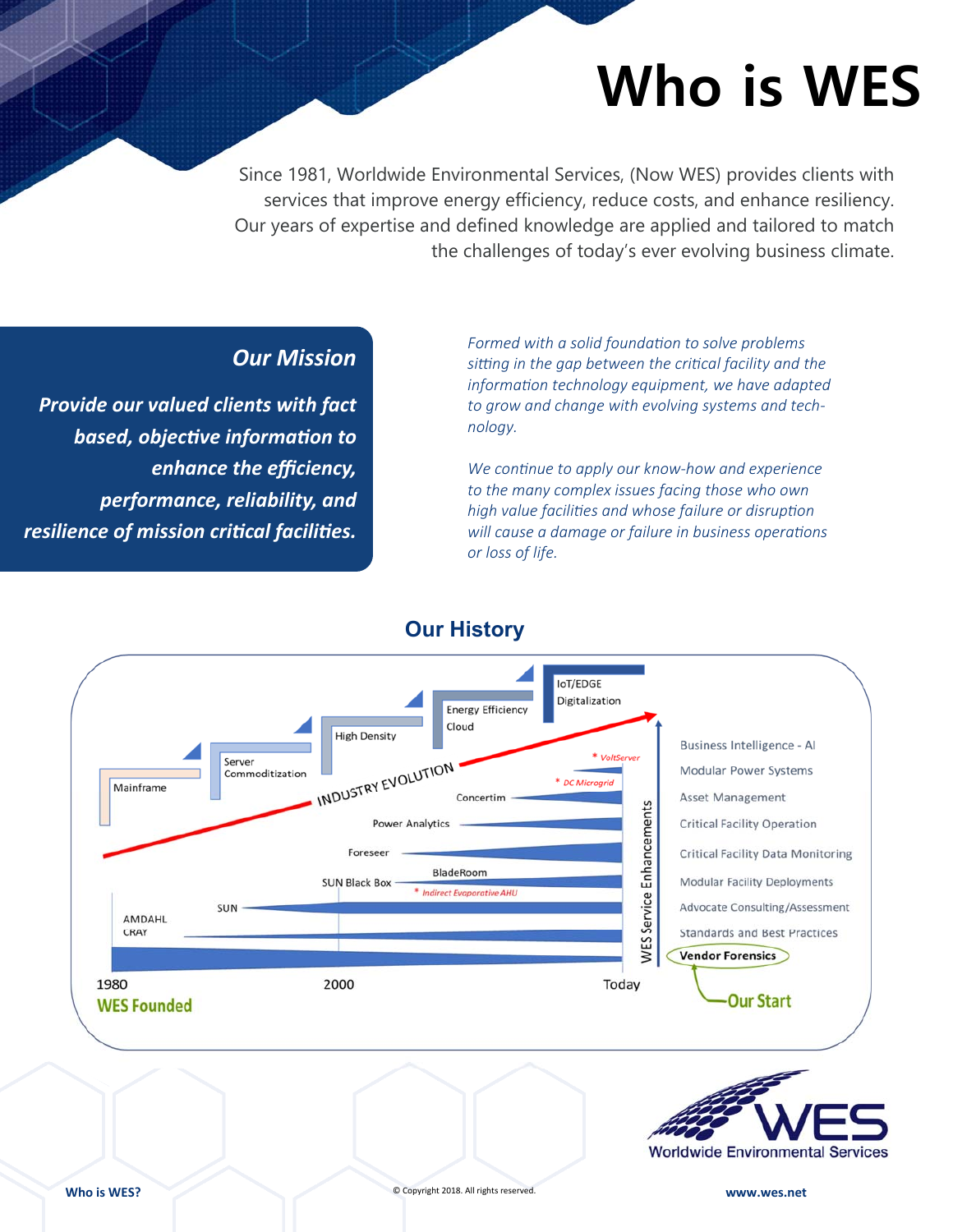# **Who is WES**

Since 1981, Worldwide Environmental Services, (Now WES) provides clients with services that improve energy efficiency, reduce costs, and enhance resiliency. Our years of expertise and defined knowledge are applied and tailored to match the challenges of today's ever evolving business climate.

### *Our Mission*

*Provide our valued clients with fact based, objective information to enhance the efficiency, performance, reliability, and resilience of mission criƟcal faciliƟes.*

Formed with a solid foundation to solve problems sitting in the gap between the critical facility and the *informaƟon technology equipment, we have adapted to grow and change with evolving systems and technology.* 

*We conƟnue to apply our know-how and experience to the many complex issues facing those who own high value faciliƟes and whose failure or disrupƟon will cause a damage or failure in business operations or loss of life.* 



**Our History**